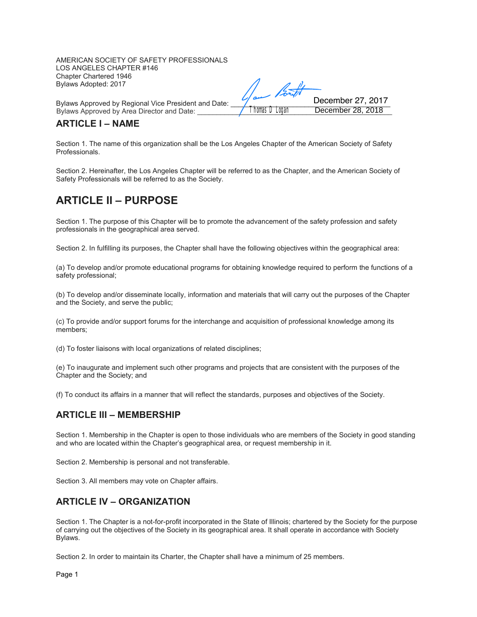AMERICAN SOCIETY OF SAFETY PROFESSIONALS LOS ANGELES CHAPTER #146 Chapter Chartered 1946 Bylaws Adopted: 2017

Bylaws Approved by Regional Vice President and Date: \_\_\_\_\_\_\_\_\_\_\_\_\_\_\_\_\_\_\_\_\_\_\_\_\_\_\_\_\_\_\_\_\_\_\_\_\_\_\_\_\_ Bylaws Approved by Area Director and Date:

# **ARTICLE I – NAME**

Section 1. The name of this organization shall be the Los Angeles Chapter of the American Society of Safety Professionals.

December 28, 2018 December 27, 2017

Section 2. Hereinafter, the Los Angeles Chapter will be referred to as the Chapter, and the American Society of Safety Professionals will be referred to as the Society.

# **ARTICLE II – PURPOSE**

Section 1. The purpose of this Chapter will be to promote the advancement of the safety profession and safety professionals in the geographical area served.

Section 2. In fulfilling its purposes, the Chapter shall have the following objectives within the geographical area:

(a) To develop and/or promote educational programs for obtaining knowledge required to perform the functions of a safety professional;

(b) To develop and/or disseminate locally, information and materials that will carry out the purposes of the Chapter and the Society, and serve the public;

(c) To provide and/or support forums for the interchange and acquisition of professional knowledge among its members;

(d) To foster liaisons with local organizations of related disciplines;

(e) To inaugurate and implement such other programs and projects that are consistent with the purposes of the Chapter and the Society; and

(f) To conduct its affairs in a manner that will reflect the standards, purposes and objectives of the Society.

#### **ARTICLE III – MEMBERSHIP**

Section 1. Membership in the Chapter is open to those individuals who are members of the Society in good standing and who are located within the Chapter's geographical area, or request membership in it.

Section 2. Membership is personal and not transferable.

Section 3. All members may vote on Chapter affairs.

# **ARTICLE IV – ORGANIZATION**

Section 1. The Chapter is a not-for-profit incorporated in the State of Illinois; chartered by the Society for the purpose of carrying out the objectives of the Society in its geographical area. It shall operate in accordance with Society Bylaws.

Section 2. In order to maintain its Charter, the Chapter shall have a minimum of 25 members.

Page 1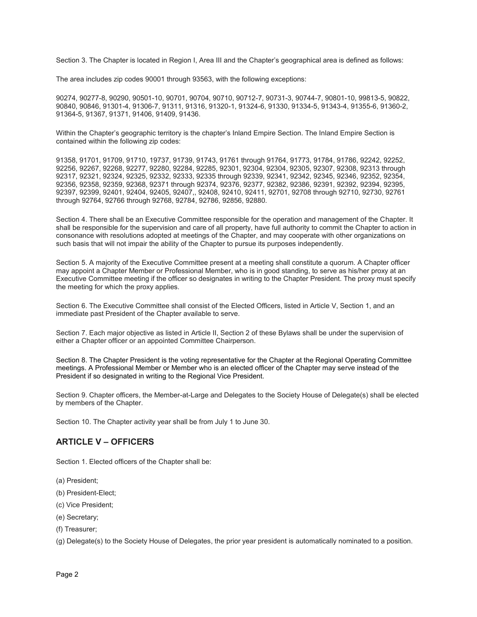Section 3. The Chapter is located in Region I, Area III and the Chapter's geographical area is defined as follows:

The area includes zip codes 90001 through 93563, with the following exceptions:

90274, 90277-8, 90290, 90501-10, 90701, 90704, 90710, 90712-7, 90731-3, 90744-7, 90801-10, 99813-5, 90822, 90840, 90846, 91301-4, 91306-7, 91311, 91316, 91320-1, 91324-6, 91330, 91334-5, 91343-4, 91355-6, 91360-2, 91364-5, 91367, 91371, 91406, 91409, 91436.

Within the Chapter's geographic territory is the chapter's Inland Empire Section. The Inland Empire Section is contained within the following zip codes:

91358, 91701, 91709, 91710, 19737, 91739, 91743, 91761 through 91764, 91773, 91784, 91786, 92242, 92252, 92256, 92267, 92268, 92277, 92280, 92284, 92285, 92301, 92304, 92304, 92305, 92307, 92308, 92313 through 92317, 92321, 92324, 92325, 92332, 92333, 92335 through 92339, 92341, 92342, 92345, 92346, 92352, 92354, 92356, 92358, 92359, 92368, 92371 through 92374, 92376, 92377, 92382, 92386, 92391, 92392, 92394, 92395, 92397, 92399, 92401, 92404, 92405, 92407,, 92408, 92410, 92411, 92701, 92708 through 92710, 92730, 92761 through 92764, 92766 through 92768, 92784, 92786, 92856, 92880.

Section 4. There shall be an Executive Committee responsible for the operation and management of the Chapter. It shall be responsible for the supervision and care of all property, have full authority to commit the Chapter to action in consonance with resolutions adopted at meetings of the Chapter, and may cooperate with other organizations on such basis that will not impair the ability of the Chapter to pursue its purposes independently.

Section 5. A majority of the Executive Committee present at a meeting shall constitute a quorum. A Chapter officer may appoint a Chapter Member or Professional Member, who is in good standing, to serve as his/her proxy at an Executive Committee meeting if the officer so designates in writing to the Chapter President. The proxy must specify the meeting for which the proxy applies.

Section 6. The Executive Committee shall consist of the Elected Officers, listed in Article V, Section 1, and an immediate past President of the Chapter available to serve.

Section 7. Each major objective as listed in Article II, Section 2 of these Bylaws shall be under the supervision of either a Chapter officer or an appointed Committee Chairperson.

Section 8. The Chapter President is the voting representative for the Chapter at the Regional Operating Committee meetings. A Professional Member or Member who is an elected officer of the Chapter may serve instead of the President if so designated in writing to the Regional Vice President.

Section 9. Chapter officers, the Member-at-Large and Delegates to the Society House of Delegate(s) shall be elected by members of the Chapter.

Section 10. The Chapter activity year shall be from July 1 to June 30.

#### **ARTICLE V – OFFICERS**

Section 1. Elected officers of the Chapter shall be:

- (a) President;
- (b) President-Elect;
- (c) Vice President;
- (e) Secretary;
- (f) Treasurer;

(g) Delegate(s) to the Society House of Delegates, the prior year president is automatically nominated to a position.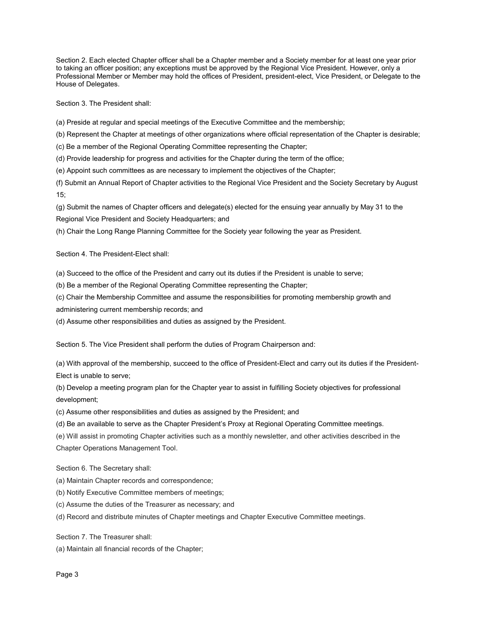Section 2. Each elected Chapter officer shall be a Chapter member and a Society member for at least one year prior to taking an officer position; any exceptions must be approved by the Regional Vice President. However, only a Professional Member or Member may hold the offices of President, president-elect, Vice President, or Delegate to the House of Delegates.

Section 3. The President shall:

(a) Preside at regular and special meetings of the Executive Committee and the membership;

(b) Represent the Chapter at meetings of other organizations where official representation of the Chapter is desirable;

(c) Be a member of the Regional Operating Committee representing the Chapter;

(d) Provide leadership for progress and activities for the Chapter during the term of the office;

(e) Appoint such committees as are necessary to implement the objectives of the Chapter;

(f) Submit an Annual Report of Chapter activities to the Regional Vice President and the Society Secretary by August 15;

(g) Submit the names of Chapter officers and delegate(s) elected for the ensuing year annually by May 31 to the Regional Vice President and Society Headquarters; and

(h) Chair the Long Range Planning Committee for the Society year following the year as President.

Section 4. The President-Elect shall:

(a) Succeed to the office of the President and carry out its duties if the President is unable to serve;

(b) Be a member of the Regional Operating Committee representing the Chapter;

(c) Chair the Membership Committee and assume the responsibilities for promoting membership growth and

administering current membership records; and

(d) Assume other responsibilities and duties as assigned by the President.

Section 5. The Vice President shall perform the duties of Program Chairperson and:

(a) With approval of the membership, succeed to the office of President-Elect and carry out its duties if the President-Elect is unable to serve;

(b) Develop a meeting program plan for the Chapter year to assist in fulfilling Society objectives for professional development;

(c) Assume other responsibilities and duties as assigned by the President; and

(d) Be an available to serve as the Chapter President's Proxy at Regional Operating Committee meetings.

(e) Will assist in promoting Chapter activities such as a monthly newsletter, and other activities described in the Chapter Operations Management Tool.

Section 6. The Secretary shall:

- (a) Maintain Chapter records and correspondence;
- (b) Notify Executive Committee members of meetings;
- (c) Assume the duties of the Treasurer as necessary; and
- (d) Record and distribute minutes of Chapter meetings and Chapter Executive Committee meetings.

Section 7. The Treasurer shall:

(a) Maintain all financial records of the Chapter;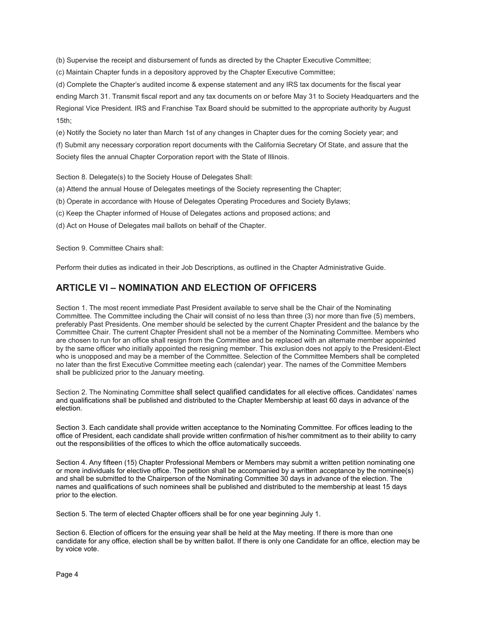(b) Supervise the receipt and disbursement of funds as directed by the Chapter Executive Committee;

(c) Maintain Chapter funds in a depository approved by the Chapter Executive Committee;

(d) Complete the Chapter's audited income & expense statement and any IRS tax documents for the fiscal year ending March 31. Transmit fiscal report and any tax documents on or before May 31 to Society Headquarters and the Regional Vice President. IRS and Franchise Tax Board should be submitted to the appropriate authority by August 15th;

(e) Notify the Society no later than March 1st of any changes in Chapter dues for the coming Society year; and

(f) Submit any necessary corporation report documents with the California Secretary Of State, and assure that the Society files the annual Chapter Corporation report with the State of Illinois.

Section 8. Delegate(s) to the Society House of Delegates Shall:

- (a) Attend the annual House of Delegates meetings of the Society representing the Chapter;
- (b) Operate in accordance with House of Delegates Operating Procedures and Society Bylaws;
- (c) Keep the Chapter informed of House of Delegates actions and proposed actions; and
- (d) Act on House of Delegates mail ballots on behalf of the Chapter.

Section 9. Committee Chairs shall:

Perform their duties as indicated in their Job Descriptions, as outlined in the Chapter Administrative Guide.

# **ARTICLE VI – NOMINATION AND ELECTION OF OFFICERS**

Section 1. The most recent immediate Past President available to serve shall be the Chair of the Nominating Committee. The Committee including the Chair will consist of no less than three (3) nor more than five (5) members, preferably Past Presidents. One member should be selected by the current Chapter President and the balance by the Committee Chair. The current Chapter President shall not be a member of the Nominating Committee. Members who are chosen to run for an office shall resign from the Committee and be replaced with an alternate member appointed by the same officer who initially appointed the resigning member. This exclusion does not apply to the President-Elect who is unopposed and may be a member of the Committee. Selection of the Committee Members shall be completed no later than the first Executive Committee meeting each (calendar) year. The names of the Committee Members shall be publicized prior to the January meeting.

Section 2. The Nominating Committee shall select qualified candidates for all elective offices. Candidates' names and qualifications shall be published and distributed to the Chapter Membership at least 60 days in advance of the election.

Section 3. Each candidate shall provide written acceptance to the Nominating Committee. For offices leading to the office of President, each candidate shall provide written confirmation of his/her commitment as to their ability to carry out the responsibilities of the offices to which the office automatically succeeds.

Section 4. Any fifteen (15) Chapter Professional Members or Members may submit a written petition nominating one or more individuals for elective office. The petition shall be accompanied by a written acceptance by the nominee(s) and shall be submitted to the Chairperson of the Nominating Committee 30 days in advance of the election. The names and qualifications of such nominees shall be published and distributed to the membership at least 15 days prior to the election.

Section 5. The term of elected Chapter officers shall be for one year beginning July 1.

Section 6. Election of officers for the ensuing year shall be held at the May meeting. If there is more than one candidate for any office, election shall be by written ballot. If there is only one Candidate for an office, election may be by voice vote.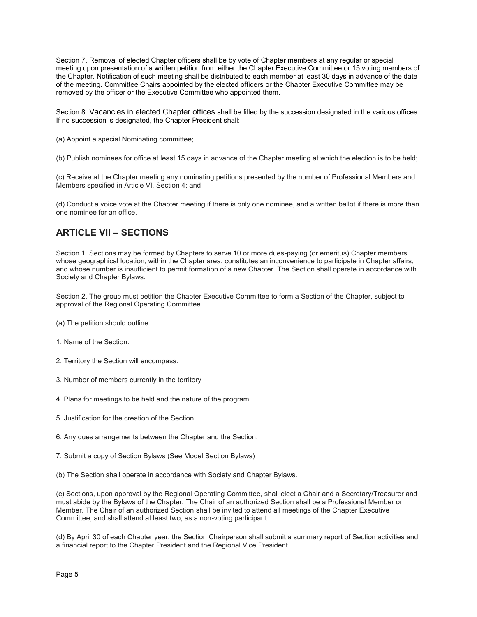Section 7. Removal of elected Chapter officers shall be by vote of Chapter members at any regular or special meeting upon presentation of a written petition from either the Chapter Executive Committee or 15 voting members of the Chapter. Notification of such meeting shall be distributed to each member at least 30 days in advance of the date of the meeting. Committee Chairs appointed by the elected officers or the Chapter Executive Committee may be removed by the officer or the Executive Committee who appointed them.

Section 8. Vacancies in elected Chapter offices shall be filled by the succession designated in the various offices. If no succession is designated, the Chapter President shall:

(a) Appoint a special Nominating committee;

(b) Publish nominees for office at least 15 days in advance of the Chapter meeting at which the election is to be held;

(c) Receive at the Chapter meeting any nominating petitions presented by the number of Professional Members and Members specified in Article VI, Section 4; and

(d) Conduct a voice vote at the Chapter meeting if there is only one nominee, and a written ballot if there is more than one nominee for an office.

# **ARTICLE VII – SECTIONS**

Section 1. Sections may be formed by Chapters to serve 10 or more dues-paying (or emeritus) Chapter members whose geographical location, within the Chapter area, constitutes an inconvenience to participate in Chapter affairs, and whose number is insufficient to permit formation of a new Chapter. The Section shall operate in accordance with Society and Chapter Bylaws.

Section 2. The group must petition the Chapter Executive Committee to form a Section of the Chapter, subject to approval of the Regional Operating Committee.

- (a) The petition should outline:
- 1. Name of the Section.
- 2. Territory the Section will encompass.
- 3. Number of members currently in the territory
- 4. Plans for meetings to be held and the nature of the program.
- 5. Justification for the creation of the Section.
- 6. Any dues arrangements between the Chapter and the Section.
- 7. Submit a copy of Section Bylaws (See Model Section Bylaws)
- (b) The Section shall operate in accordance with Society and Chapter Bylaws.

(c) Sections, upon approval by the Regional Operating Committee, shall elect a Chair and a Secretary/Treasurer and must abide by the Bylaws of the Chapter. The Chair of an authorized Section shall be a Professional Member or Member. The Chair of an authorized Section shall be invited to attend all meetings of the Chapter Executive Committee, and shall attend at least two, as a non-voting participant.

(d) By April 30 of each Chapter year, the Section Chairperson shall submit a summary report of Section activities and a financial report to the Chapter President and the Regional Vice President.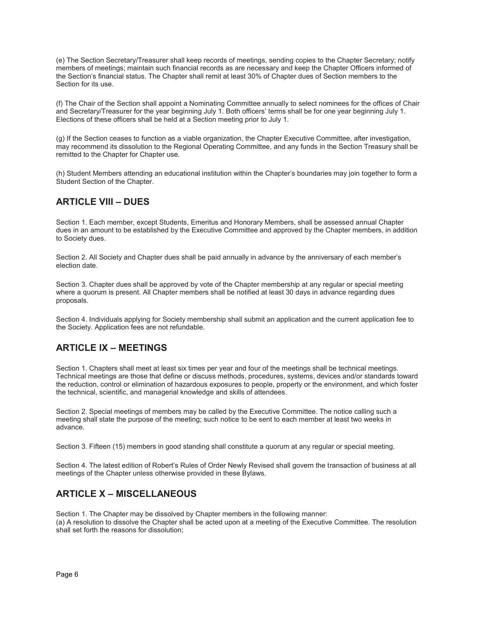(e) The Section Secretary/Treasurer shall keep records of meetings, sending copies to the Chapter Secretary; notify members of meetings; maintain such financial records as are necessary and keep the Chapter Officers informed of the Section's financial status. The Chapter shall remit at least 30% of Chapter dues of Section members to the Section for its use.

(f) The Chair of the Section shall appoint a Nominating Committee annually to select nominees for the offices of Chair and Secretary/Treasurer for the year beginning July 1. Both officers' terms shall be for one year beginning July 1. Elections of these officers shall be held at a Section meeting prior to July 1.

(g) If the Section ceases to function as a viable organization, the Chapter Executive Committee, after investigation, may recommend its dissolution to the Regional Operating Committee, and any funds in the Section Treasury shall be remitted to the Chapter for Chapter use.

(h) Student Members attending an educational institution within the Chapter's boundaries may join together to form a Student Section of the Chapter.

# **ARTICLE VIII – DUES**

Section 1. Each member, except Students, Emeritus and Honorary Members, shall be assessed annual Chapter dues in an amount to be established by the Executive Committee and approved by the Chapter members, in addition to Society dues.

Section 2. All Society and Chapter dues shall be paid annually in advance by the anniversary of each member's election date.

Section 3. Chapter dues shall be approved by vote of the Chapter membership at any regular or special meeting where a quorum is present. All Chapter members shall be notified at least 30 days in advance regarding dues proposals.

Section 4. Individuals applying for Society membership shall submit an application and the current application fee to the Society. Application fees are not refundable.

# **ARTICLE IX – MEETINGS**

Section 1. Chapters shall meet at least six times per year and four of the meetings shall be technical meetings. Technical meetings are those that define or discuss methods, procedures, systems, devices and/or standards toward the reduction, control or elimination of hazardous exposures to people, property or the environment, and which foster the technical, scientific, and managerial knowledge and skills of attendees.

Section 2. Special meetings of members may be called by the Executive Committee. The notice calling such a meeting shall state the purpose of the meeting; such notice to be sent to each member at least two weeks in advance.

Section 3. Fifteen (15) members in good standing shall constitute a quorum at any regular or special meeting.

Section 4. The latest edition of Robert's Rules of Order Newly Revised shall govern the transaction of business at all meetings of the Chapter unless otherwise provided in these Bylaws.

# **ARTICLE X – MISCELLANEOUS**

Section 1. The Chapter may be dissolved by Chapter members in the following manner: (a) A resolution to dissolve the Chapter shall be acted upon at a meeting of the Executive Committee. The resolution shall set forth the reasons for dissolution;